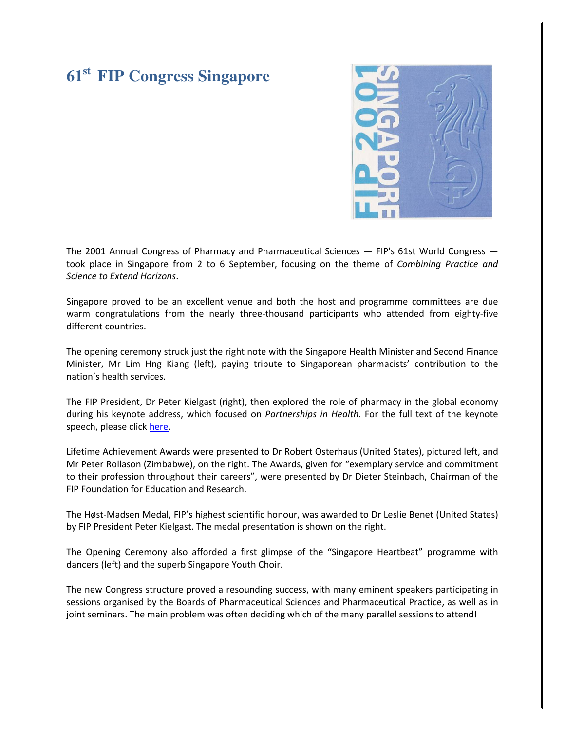# **61st FIP Congress Singapore**



The 2001 Annual Congress of Pharmacy and Pharmaceutical Sciences — FIP's 61st World Congress took place in Singapore from 2 to 6 September, focusing on the theme of Combining Practice and Science to Extend Horizons.

Singapore proved to be an excellent venue and both the host and programme committees are due warm congratulations from the nearly three-thousand participants who attended from eighty-five different countries.

The opening ceremony struck just the right note with the Singapore Health Minister and Second Finance Minister, Mr Lim Hng Kiang (left), paying tribute to Singaporean pharmacists' contribution to the nation's health services.

The FIP President, Dr Peter Kielgast (right), then explored the role of pharmacy in the global economy during his keynote address, which focused on Partnerships in Health. For the full text of the keynote speech, please click here.

Lifetime Achievement Awards were presented to Dr Robert Osterhaus (United States), pictured left, and Mr Peter Rollason (Zimbabwe), on the right. The Awards, given for "exemplary service and commitment to their profession throughout their careers", were presented by Dr Dieter Steinbach, Chairman of the FIP Foundation for Education and Research.

The Høst-Madsen Medal, FIP's highest scientific honour, was awarded to Dr Leslie Benet (United States) by FIP President Peter Kielgast. The medal presentation is shown on the right.

The Opening Ceremony also afforded a first glimpse of the "Singapore Heartbeat" programme with dancers (left) and the superb Singapore Youth Choir.

The new Congress structure proved a resounding success, with many eminent speakers participating in sessions organised by the Boards of Pharmaceutical Sciences and Pharmaceutical Practice, as well as in joint seminars. The main problem was often deciding which of the many parallel sessions to attend!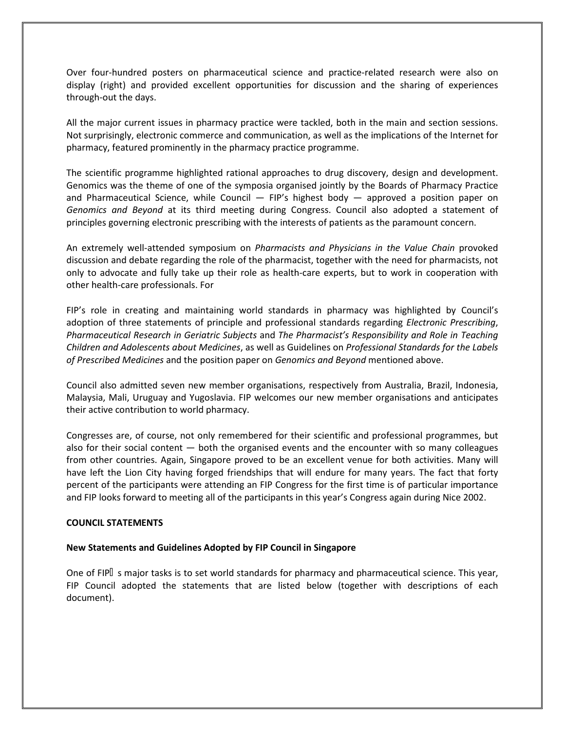Over four-hundred posters on pharmaceutical science and practice-related research were also on display (right) and provided excellent opportunities for discussion and the sharing of experiences through-out the days.

All the major current issues in pharmacy practice were tackled, both in the main and section sessions. Not surprisingly, electronic commerce and communication, as well as the implications of the Internet for pharmacy, featured prominently in the pharmacy practice programme.

The scientific programme highlighted rational approaches to drug discovery, design and development. Genomics was the theme of one of the symposia organised jointly by the Boards of Pharmacy Practice and Pharmaceutical Science, while Council - FIP's highest body - approved a position paper on Genomics and Beyond at its third meeting during Congress. Council also adopted a statement of principles governing electronic prescribing with the interests of patients as the paramount concern.

An extremely well-attended symposium on Pharmacists and Physicians in the Value Chain provoked discussion and debate regarding the role of the pharmacist, together with the need for pharmacists, not only to advocate and fully take up their role as health-care experts, but to work in cooperation with other health-care professionals. For

FIP's role in creating and maintaining world standards in pharmacy was highlighted by Council's adoption of three statements of principle and professional standards regarding *Electronic Prescribing*, Pharmaceutical Research in Geriatric Subjects and The Pharmacist's Responsibility and Role in Teaching Children and Adolescents about Medicines, as well as Guidelines on Professional Standards for the Labels of Prescribed Medicines and the position paper on Genomics and Beyond mentioned above.

Council also admitted seven new member organisations, respectively from Australia, Brazil, Indonesia, Malaysia, Mali, Uruguay and Yugoslavia. FIP welcomes our new member organisations and anticipates their active contribution to world pharmacy.

Congresses are, of course, not only remembered for their scientific and professional programmes, but also for their social content  $-$  both the organised events and the encounter with so many colleagues from other countries. Again, Singapore proved to be an excellent venue for both activities. Many will have left the Lion City having forged friendships that will endure for many years. The fact that forty percent of the participants were attending an FIP Congress for the first time is of particular importance and FIP looks forward to meeting all of the participants in this year's Congress again during Nice 2002.

#### COUNCIL STATEMENTS

# New Statements and Guidelines Adopted by FIP Council in Singapore

One of FIP s major tasks is to set world standards for pharmacy and pharmaceutical science. This year, FIP Council adopted the statements that are listed below (together with descriptions of each document).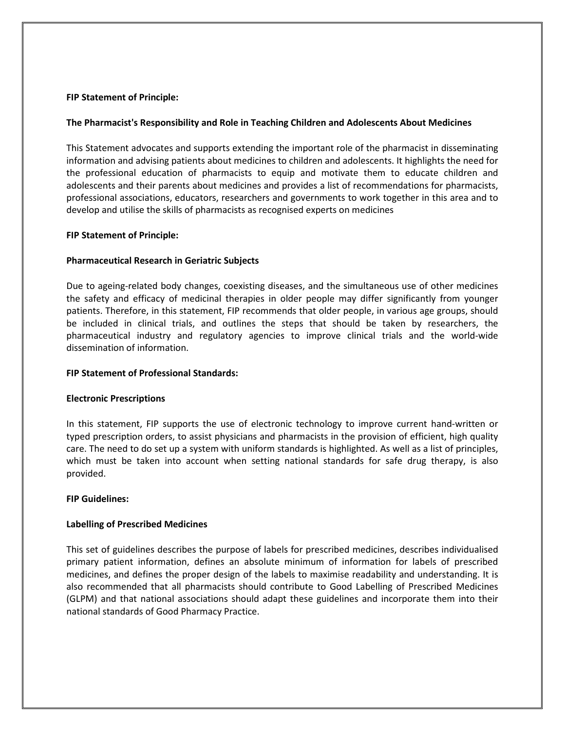## FIP Statement of Principle:

## The Pharmacist's Responsibility and Role in Teaching Children and Adolescents About Medicines

This Statement advocates and supports extending the important role of the pharmacist in disseminating information and advising patients about medicines to children and adolescents. It highlights the need for the professional education of pharmacists to equip and motivate them to educate children and adolescents and their parents about medicines and provides a list of recommendations for pharmacists, professional associations, educators, researchers and governments to work together in this area and to develop and utilise the skills of pharmacists as recognised experts on medicines

#### FIP Statement of Principle:

## Pharmaceutical Research in Geriatric Subjects

Due to ageing-related body changes, coexisting diseases, and the simultaneous use of other medicines the safety and efficacy of medicinal therapies in older people may differ significantly from younger patients. Therefore, in this statement, FIP recommends that older people, in various age groups, should be included in clinical trials, and outlines the steps that should be taken by researchers, the pharmaceutical industry and regulatory agencies to improve clinical trials and the world-wide dissemination of information.

#### FIP Statement of Professional Standards:

#### Electronic Prescriptions

In this statement, FIP supports the use of electronic technology to improve current hand-written or typed prescription orders, to assist physicians and pharmacists in the provision of efficient, high quality care. The need to do set up a system with uniform standards is highlighted. As well as a list of principles, which must be taken into account when setting national standards for safe drug therapy, is also provided.

#### FIP Guidelines:

# Labelling of Prescribed Medicines

This set of guidelines describes the purpose of labels for prescribed medicines, describes individualised primary patient information, defines an absolute minimum of information for labels of prescribed medicines, and defines the proper design of the labels to maximise readability and understanding. It is also recommended that all pharmacists should contribute to Good Labelling of Prescribed Medicines (GLPM) and that national associations should adapt these guidelines and incorporate them into their national standards of Good Pharmacy Practice.